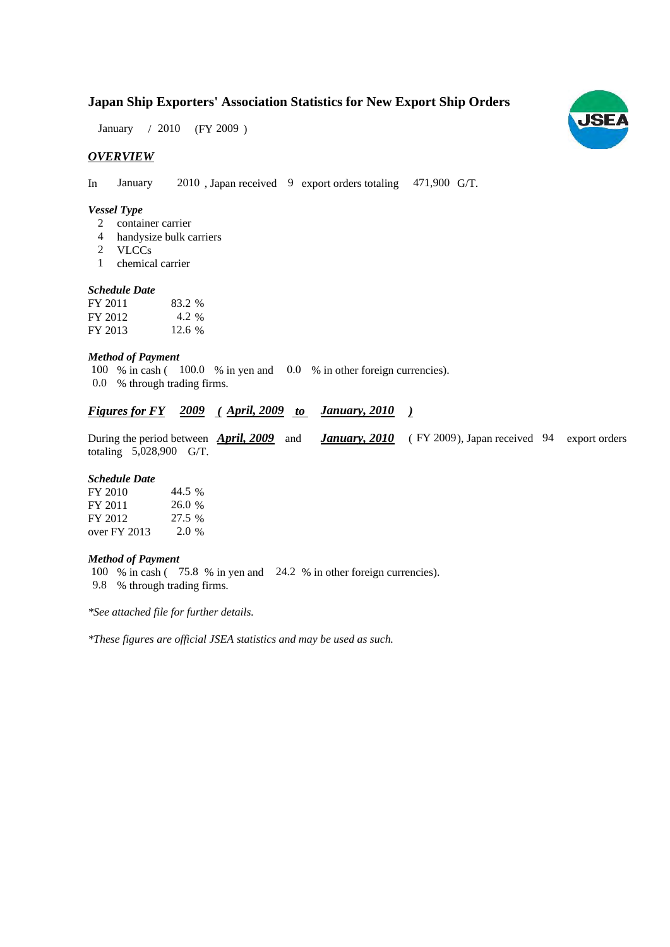# **Japan Ship Exporters' Association Statistics for New Export Ship Orders**

January / 2010 (FY 2009)

# *OVERVIEW*

In January 2010, Japan received 9 export orders totaling 471,900 G/T.

#### *Vessel Type*

- 2 container carrier
- handysize bulk carriers 4
- VLCCs 2
- chemical carrier 1

#### *Schedule Date*

| FY 2011 | 83.2 % |
|---------|--------|
| FY 2012 | 4.2 %  |
| FY 2013 | 12.6%  |

#### *Method of Payment*

100 % in cash ( 100.0 % in yen and 0.0 % in other foreign currencies). 0.0 % through trading firms.

#### *<u>Figures for FY 2009 (April, 2009 to January, 2010)</u> January, 2010*

During the period between **April, 2009** and **January, 2010** (FY 2009), Japan received 94 export orders totaling  $5,028,900$  G/T.

### *Schedule Date*

| FY 2010      | 44.5 % |
|--------------|--------|
| FY 2011      | 26.0 % |
| FY 2012      | 27.5 % |
| over FY 2013 | 2.0%   |

#### *Method of Payment*

100 % in cash (75.8 % in yen and 24.2 % in other foreign currencies).

% through trading firms. 9.8

*\*See attached file for further details.*

*\*These figures are official JSEA statistics and may be used as such.*

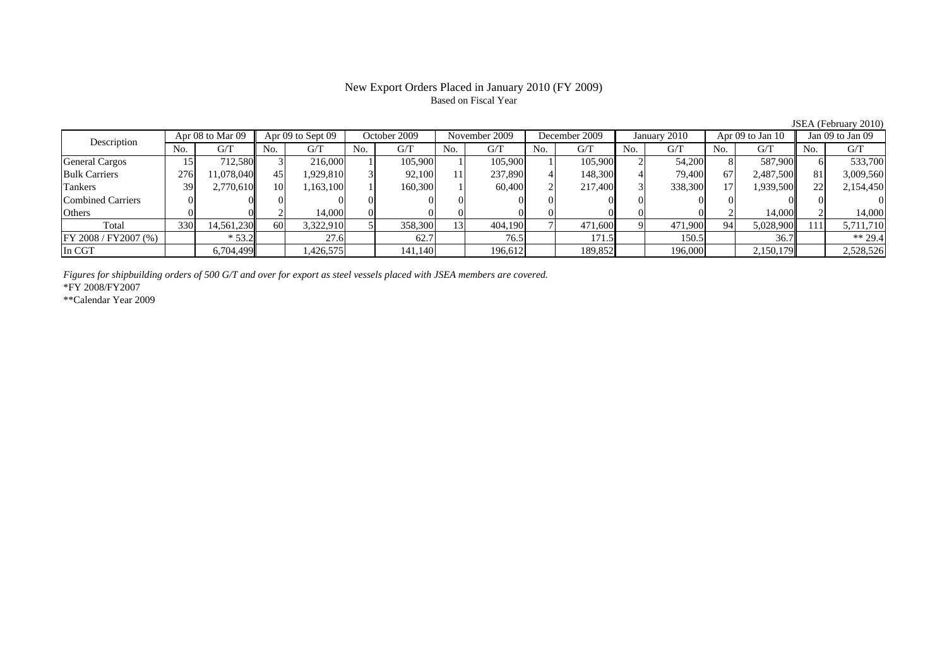# New Export Orders Placed in January 2010 (FY 2009) Based on Fiscal Year

JSEA (February 2010)

| Description              | Apr 08 to Mar 09<br>October 2009<br>Apr 09 to Sept 09 |            | November 2009<br>December 2009 |           |     | January 2010 |       | Apr 09 to Jan 10 |                | Jan 09 to Jan 09 |     |         |     |           |     |           |
|--------------------------|-------------------------------------------------------|------------|--------------------------------|-----------|-----|--------------|-------|------------------|----------------|------------------|-----|---------|-----|-----------|-----|-----------|
|                          | No.                                                   | G/T        | No.                            | G/T       | No. | G/T          | No.   | G/T              | N <sub>0</sub> | G/T              | No. | G/T     | No. | G/T       | No. | G/T       |
| <b>General Cargos</b>    | 15                                                    | 712.580    |                                | 216,000   |     | 105,900      |       | 105,900          |                | 105,900          |     | 54,200  |     | 587,900   |     | 533,700   |
| <b>Bulk Carriers</b>     | 276                                                   | 11,078,040 | 45                             | 1.929.810 |     | 92,100       | l 1 I | 237,890          |                | 148,300          |     | 79,400  | 67  | 2,487,500 | 81  | 3,009,560 |
| Tankers                  | 39                                                    | 2,770,610  | 10                             | ,163,100  |     | 160,300      |       | 60,400           |                | 217,400          |     | 338,300 |     | 1,939,500 |     | 2,154,450 |
| <b>Combined Carriers</b> |                                                       |            |                                |           |     |              |       |                  |                |                  |     |         |     |           |     |           |
| <b>Others</b>            |                                                       |            |                                | 14.000    |     |              |       |                  |                |                  |     |         |     | 14,000    |     | 14,000    |
| Total                    | 330                                                   | 14,561,230 | 60                             | 3,322,910 |     | 358,300      | 131   | 404,190          |                | 471,600          |     | 471,900 | 94  | 5,028,900 | 111 | 5,711,710 |
| $FY$ 2008 / FY 2007 (%)  |                                                       | $*53.2$    |                                | 27.6      |     | 62.7         |       | 76.5             |                | 171.5            |     | 150.5   |     | 36.7      |     | $** 29.4$ |
| In CGT                   |                                                       | 6,704,499  |                                | 1,426,575 |     | 141.140      |       | 196,612          |                | 189,852          |     | 196,000 |     | 2,150,179 |     | 2,528,526 |

*Figures for shipbuilding orders of 500 G/T and over for export as steel vessels placed with JSEA members are covered.* \*FY 2008/FY2007

\*\*Calendar Year 2009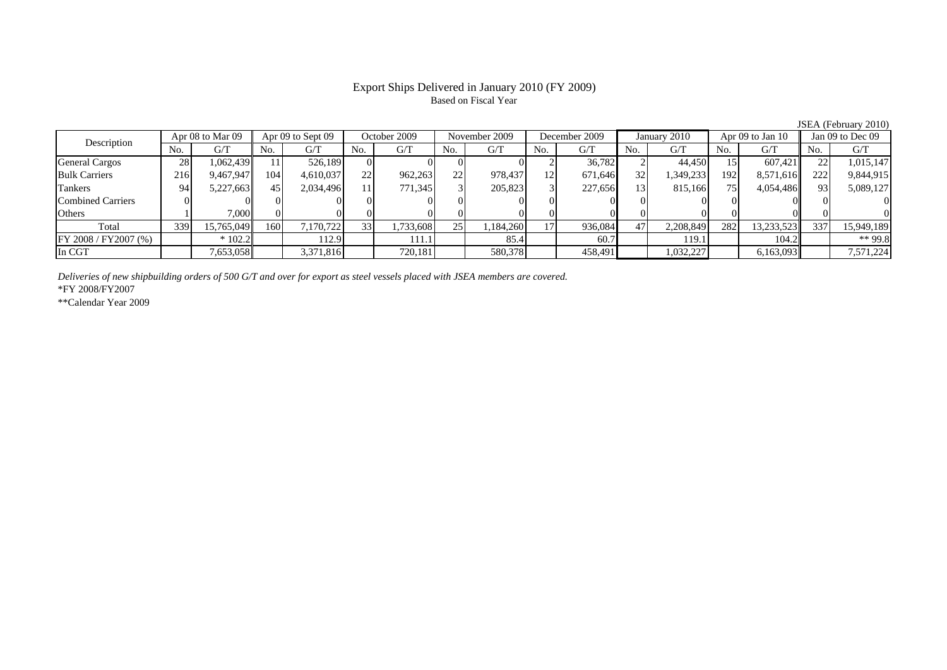# Export Ships Delivered in January 2010 (FY 2009) Based on Fiscal Year

JSEA (February 2010)

| Description              | Apr 08 to Mar 09 |            | Apr 09 to Sept 09 |           | October 2009 |           | November 2009 |           | December 2009   |         | January 2010 |           | Apr 09 to Jan 10 |            | Jan $09$ to Dec $09$ |            |
|--------------------------|------------------|------------|-------------------|-----------|--------------|-----------|---------------|-----------|-----------------|---------|--------------|-----------|------------------|------------|----------------------|------------|
|                          | No.              | G/T        | No.               | G/T       | No.          | G/T       | No.           | G/T       | No.             | G/T     | No.          | G/T       | No.              | G/T        | No.                  | G/T        |
| <b>General Cargos</b>    | 28               | 1,062,439  |                   | 526.189   |              |           |               |           |                 | 36,782  |              | 44,450    |                  | 607,421    | 22                   | 1,015,147  |
| <b>Bulk Carriers</b>     | 216              | 9,467,947  | 104               | 4,610,037 | 22           | 962,263   | 22            | 978,437   | 12 <sup>1</sup> | 671,646 | 32           | 1,349,233 | 192              | 8,571,616  | 222                  | 9,844,915  |
| Tankers                  | -94.             | 5,227,663  | 45                | 2,034,496 |              | 771.345   |               | 205,823   |                 | 227,656 | 13           | 815,166   | 75 <sub>1</sub>  | 4,054,486  | 931                  | 5,089,127  |
| <b>Combined Carriers</b> |                  |            |                   |           |              |           |               |           |                 |         |              |           |                  |            |                      |            |
| Others                   |                  | 7.000      |                   |           |              |           |               |           |                 |         |              |           |                  |            |                      |            |
| Total                    | 339              | 15,765,049 | 160               | 7,170,722 | 33           | 1,733,608 | 25            | 1,184,260 |                 | 936,084 | 47           | 2,208,849 | 282              | 13,233,523 | 337                  | 15,949,189 |
| FY 2008 / FY 2007 (%)    |                  | $*102.2$   |                   | 112.9     |              | 111.1     |               | 85.4      |                 | 60.7    |              | 119.1     |                  | 104.2      |                      | ** 99.8    |
| In CGT                   |                  | 7,653,058  |                   | 3,371,816 |              | 720,181   |               | 580,378   |                 | 458,491 |              | 1,032,227 |                  | 6,163,093  |                      | 7,571,224  |

*Deliveries of new shipbuilding orders of 500 G/T and over for export as steel vessels placed with JSEA members are covered.*

\*FY 2008/FY2007

\*\*Calendar Year 2009